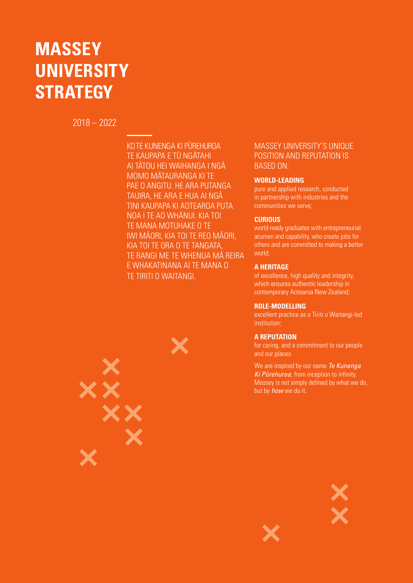# **MASSEY UNIVERSITY STRATEGY**

2018 – 2022

KO TE KUNENGA KI PŪREHUROA TE KAUPAPA E TŪ NGĀTAHI AI TĀTOU HEI WAIHANGA I NGĀ MOMO M - ATAURANGA KI TE PAE O ANGITU. HE ARA PUTANGA TAUIRA, HE ARA E HUA AI NGÃ TINI KAUPAPA KI AOTEAROA PUTA MAN I TE AO WHÂNUI. KIA TOI TE MANA MOTUHAKE O TE TE MANANO TOLANCE O TE<br>IWI MĀORI, KIA TOI TE REO MĀORI, KIA TOI TE ORA O TE TANGATA, TE RANGI ME TE WHENUA MÀ REIRA E WHAKATINANA AI TE MANA O TE TIRITI O WAITANGI.

# XX

#### MASSEY UNIVERSITY'S UNIQUE POSITION AND REPUTATION IS BASED ON:

#### **WORLD-LEADING**

pure and applied research, conducted in partnership with industries and the communities we serve;

#### **CURIOUS**

world-ready graduates with entrepreneurial acumen and capability, who create jobs for others and are committed to making a better world;

#### **A HERITAGE**

of excellence, high quality and integrity, which ensures authentic leadership in contemporary Aotearoa New Zealand;

#### **ROLE-MODELLING**

excellent practice as a Tiriti o Waitangi-led institution;

#### **A REPUTATION**

for caring, and a commitment to our people and our places.

We are inspired by our name *Te Kunenga Ki Pūrehuroa*; from inception to infinity. Massey is not simply defined by what we do, but by *how* we do it.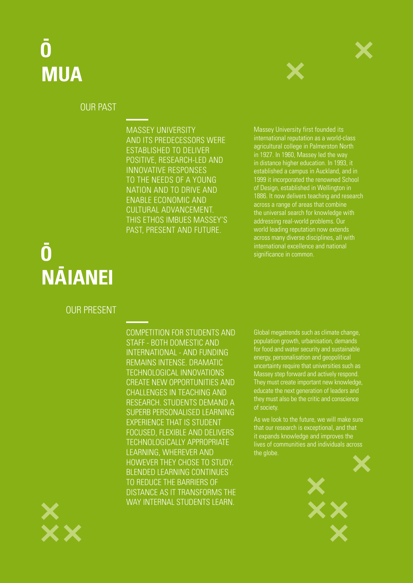# **- O MUA**



## OUR PAST

MASSEY UNIVERSITY AND ITS PREDECESSORS WERE ESTABLISHED TO DELIVER POSITIVE, RESEARCH-LED AND INNOVATIVE RESPONSES TO THE NEEDS OF A YOUNG NATION AND TO DRIVE AND ENABLE ECONOMIC AND CULTURAL ADVANCEMENT. THIS ETHOS IMBUES MASSEY'S PAST, PRESENT AND FUTURE.

Massey University first founded its international reputation as a world-class agricultural college in Palmerston North in 1927. In 1960, Massey led the way in distance higher education. In 1993, it established a campus in Auckland, and in 1999 it incorporated the renowned School of Design, established in Wellington in 1886. It now delivers teaching and research across a range of areas that combine the universal search for knowledge with addressing real-world problems. Our world leading reputation now extends across many diverse disciplines, all with international excellence and national significance in common.

# **- O N - AIANEI**

## OUR PRESENT

COMPETITION FOR STUDENTS AND STAFF - BOTH DOMESTIC AND INTERNATIONAL - AND FUNDING REMAINS INTENSE. DRAMATIC TECHNOLOGICAL INNOVATIONS CREATE NEW OPPORTUNITIES AND CHALLENGES IN TEACHING AND RESEARCH. STUDENTS DEMAND A SUPERB PERSONALISED LEARNING EXPERIENCE THAT IS STUDENT FOCUSED, FLEXIBLE AND DELIVERS TECHNOLOGICALLY APPROPRIATE LEARNING, WHEREVER AND HOWEVER THEY CHOSE TO STUDY. BLENDED LEARNING CONTINUES TO REDUCE THE BARRIERS OF DISTANCE AS IT TRANSFORMS THE WAY INTERNAL STUDENTS LEARN.

Global megatrends such as climate change, population growth, urbanisation, demands for food and water security and sustainable energy, personalisation and geopolitical uncertainty require that universities such as Massey step forward and actively respond. They must create important new knowledge, educate the next generation of leaders and they must also be the critic and conscience of society.

As we look to the future, we will make sure that our research is exceptional, and that it expands knowledge and improves the lives of communities and individuals across the globe.



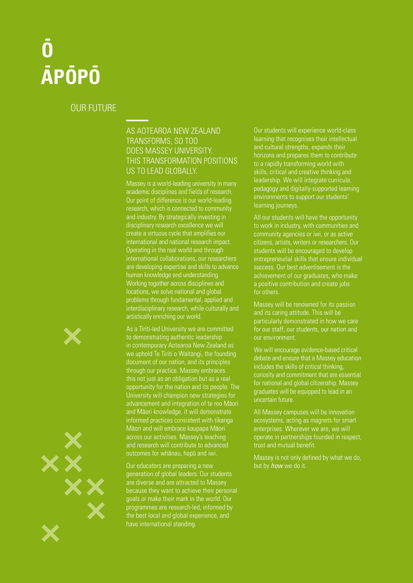# **- O - AP - OP - O**

## OUR FUTURE

### AS AOTEAROA NEW ZEALAND TRANSFORMS, SO TOO DOES MASSEY UNIVERSITY. THIS TRANSFORMATION POSITIONS US TO LEAD GLOBALLY.

Massey is a world-leading university in many academic disciplines and fields of research. Our point of difference is our world-leading research, which is connected to community and industry. By strategically investing in disciplinary research excellence we will create a virtuous cycle that amplifies our international and national research impact. Operating in the real world and through international collaborations, our researchers are developing expertise and skills to advance human knowledge and understanding. Working together across disciplines and locations, we solve national and global problems through fundamental, applied and interdisciplinary research, while culturally and artistically enriching our world.

As a Tiriti-led University we are committed to demonstrating authentic leadership in contemporary Aotearoa New Zealand as we uphold Te Tiriti o Waitangi, the founding document of our nation, and its principles through our practice. Massey embraces this not just as an obligation but as a real opportunity for the nation and its people. The University will champion new strategies for advancement and integration of te reo Māori and Māori knowledge, it will demonstrate informed practices consistent with tikanga Māori and will embrace kaupapa Māori across our activities. Massey's teaching and research will contribute to advanced outcomes for whānau, hapū and iwi.

Our educators are preparing a new generation of global leaders. Our students are diverse and are attracted to Massey because they want to achieve their personal goals or make their mark in the world. Our programmes are research-led, informed by the best local and global experience, and have international standing.

Our students will experience world-class learning that recognises their intellectual and cultural strengths, expands their horizons and prepares them to contribute to a rapidly transforming world with skills, critical and creative thinking and leadership. We will integrate curricula, pedagogy and digitally-supported learning environments to support our students' learning journeys.

All our students will have the opportunity to work in industry, with communities and community agencies or iwi, or as active citizens, artists, writers or researchers. Our students will be encouraged to develop entrepreneurial skills that ensure individual success. Our best advertisement is the achievement of our graduates, who make a positive contribution and create jobs for others.

Massey will be renowned for its passion and its caring attitude. This will be particularly demonstrated in how we care our environment.

We will encourage evidence-based critical debate and ensure that a Massey education includes the skills of critical thinking, curiosity and commitment that are essential for national and global citizenship. Massey graduates will be equipped to lead in an uncertain future.

All Massey campuses will be innovation ecosystems, acting as magnets for smart enterprises. Wherever we are, we will operate in partnerships founded in respect, trust and mutual benefit.

Massey is not only defined by what we do, but by *how* we do it.



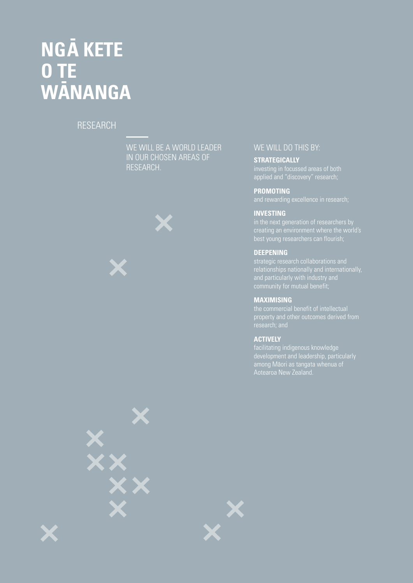# **NG - A KETE O TE W-ANANGA**

## RESEARCH



#### WE WILL DO THIS BY:

**STRATEGICALLY**  investing in focussed areas of both applied and "discovery" research;

**PROMOTING** 

#### **INVESTING**

#### **DEEPENING**

and particularly with industry and

#### **MAXIMISING**

the commercial benefit of intellectual property and other outcomes derived from

#### **ACTIVELY**

facilitating indigenous knowledge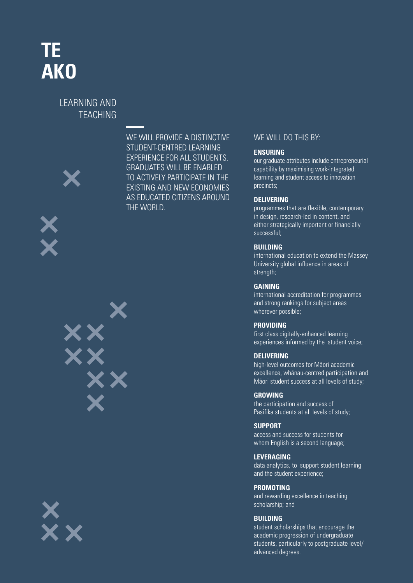# **TE AKO**

## LEARNING AND TEACHING









WE WILL PROVIDE A DISTINCTIVE STUDENT-CENTRED LEARNING EXPERIENCE FOR ALL STUDENTS. GRADUATES WILL BE ENABLED TO ACTIVELY PARTICIPATE IN THE EXISTING AND NEW ECONOMIES AS EDUCATED CITIZENS AROUND THE WORLD.

#### WE WILL DO THIS BY:

#### **ENSURING**

our graduate attributes include entrepreneurial capability by maximising work-integrated learning and student access to innovation precincts;

#### **DELIVERING**

programmes that are flexible, contemporary in design, research-led in content, and either strategically important or financially successful;

#### **BUILDING**

international education to extend the Massey University global influence in areas of strength;

#### **GAINING**

international accreditation for programmes and strong rankings for subject areas wherever possible;

#### **PROVIDING**

first class digitally-enhanced learning experiences informed by the student voice;

#### **DELIVERING**

high-level outcomes for Māori academic excellence, whānau-centred participation and Māori student success at all levels of study;

#### **GROWING**

the participation and success of Pasifika students at all levels of study;

#### **SUPPORT**

access and success for students for whom English is a second language;

#### **LEVERAGING**

data analytics, to support student learning and the student experience;

#### **PROMOTING**

and rewarding excellence in teaching scholarship; and

#### **BUILDING**

student scholarships that encourage the academic progression of undergraduate students, particularly to postgraduate level/ advanced degrees.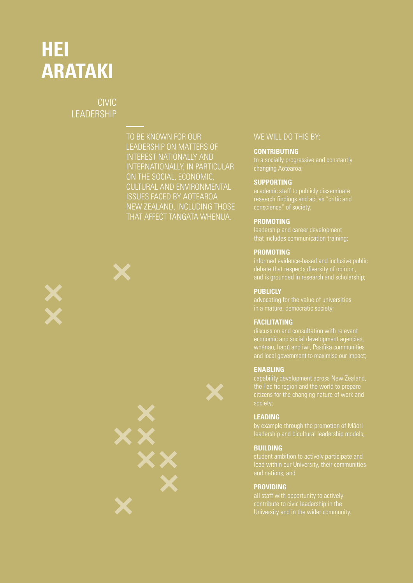# **HEI ARATAKI**

## CIVIC **LEADERSHIP**

TO BE KNOWN FOR OUR LEADERSHIP ON MATTERS OF INTEREST NATIONALLY AND INTERNATIONALLY, IN PARTICULAR ON THE SOCIAL, ECONOMIC, CULTURAL AND ENVIRONMENTAL ISSUES FACED BY AOTEAROA NEW ZEALAND, INCLUDING THOSE THAT AFFECT TANGATA WHENUA.



#### WE WILL DO THIS BY:

#### **CONTRIBUTING**

#### **SUPPORTING**

#### **PROMOTING**

#### **PROMOTING**

and is grounded in research and scholarship;

#### **PUBLICLY**

#### **FACILITATING**

#### **ENABLING**

the Pacific region and the world to prepare

#### **LEADING**

#### **BUILDING**

student ambition to actively participate and

#### **PROVIDING**

all staff with opportunity to actively